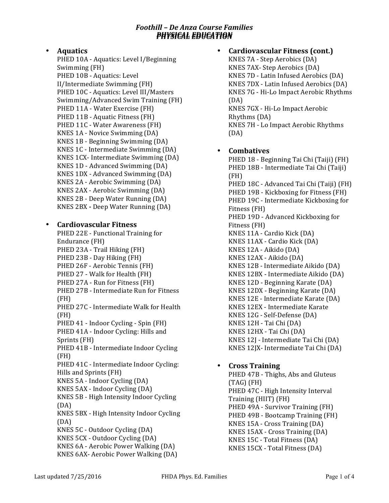# • **Aquatics**

PHED 10A - Aquatics: Level I/Beginning Swimming (FH) PHED 10B - Aquatics: Level II/Intermediate Swimming (FH) PHED 10C - Aquatics: Level III/Masters Swimming/Advanced Swim Training (FH) PHED 11A - Water Exercise (FH) PHED 11B - Aquatic Fitness (FH) PHED 11C - Water Awareness (FH) KNES 1A - Novice Swimming (DA) KNES 1B - Beginning Swimming (DA) KNES 1C - Intermediate Swimming (DA) KNES 1CX- Intermediate Swimming (DA) KNES 1D - Advanced Swimming (DA) KNES 1DX - Advanced Swimming (DA) KNES 2A - Aerobic Swimming (DA) KNES 2AX - Aerobic Swimming (DA) KNES 2B - Deep Water Running (DA) KNES 2BX - Deep Water Running (DA)

#### • **Cardiovascular)Fitness**

PHED 22E - Functional Training for Endurance (FH) PHED 23A - Trail Hiking (FH) PHED 23B - Day Hiking (FH) PHED 26F - Aerobic Tennis (FH) PHED 27 - Walk for Health (FH) PHED 27A - Run for Fitness (FH) PHED 27B - Intermediate Run for Fitness (FH) PHED 27C - Intermediate Walk for Health (FH) PHED 41 - Indoor Cycling - Spin (FH) PHED 41A - Indoor Cycling: Hills and Sprints (FH) PHED 41B - Intermediate Indoor Cycling (FH) PHED 41C - Intermediate Indoor Cycling: Hills and Sprints (FH) KNES 5A - Indoor Cycling (DA) KNES 5AX - Indoor Cycling (DA) KNES 5B - High Intensity Indoor Cycling (DA) KNES 5BX - High Intensity Indoor Cycling (DA) KNES 5C - Outdoor Cycling (DA) KNES 5CX - Outdoor Cycling (DA) KNES 6A - Aerobic Power Walking (DA) KNES 6AX- Aerobic Power Walking (DA)

#### **Cardiovascular Fitness (cont.)**

KNES 7A - Step Aerobics (DA) KNES 7AX- Step Aerobics (DA) KNES 7D - Latin Infused Aerobics (DA) KNES 7DX - Latin Infused Aerobics (DA) KNES 7G - Hi-Lo Impact Aerobic Rhythms (DA) KNES 7GX - Hi-Lo Impact Aerobic Rhythms (DA) KNES 7H - Lo Impact Aerobic Rhythms (DA)

#### • **Combatives**

PHED 18 - Beginning Tai Chi (Taiji) (FH) PHED 18B - Intermediate Tai Chi (Taiji) (FH) PHED 18C - Advanced Tai Chi (Taiji) (FH) PHED 19B - Kickboxing for Fitness (FH) PHED 19C - Intermediate Kickboxing for Fitness (FH) PHED 19D - Advanced Kickboxing for Fitness (FH) KNES 11A - Cardio Kick (DA) KNES 11AX - Cardio Kick (DA) KNES 12A - Aikido (DA) KNES 12AX - Aikido (DA) KNES 12B - Intermediate Aikido (DA) KNES 12BX - Intermediate Aikido (DA) KNES 12D - Beginning Karate (DA) KNES 12DX - Beginning Karate (DA) KNES 12E - Intermediate Karate (DA) KNES 12EX - Intermediate Karate KNES 12G - Self-Defense (DA) KNES 12H - Tai Chi (DA) KNES 12HX - Tai Chi (DA) KNES 12J - Intermediate Tai Chi (DA) KNES 12JX- Intermediate Tai Chi (DA)

### • **Cross)Training**

PHED 47B - Thighs, Abs and Gluteus (TAG) (FH) PHED 47C - High Intensity Interval Training%(HIIT) (FH) PHED 49A - Survivor Training (FH) PHED 49B - Bootcamp Training (FH) KNES 15A - Cross Training (DA) KNES 15AX - Cross Training (DA) KNES 15C - Total Fitness (DA) KNES 15CX - Total Fitness (DA)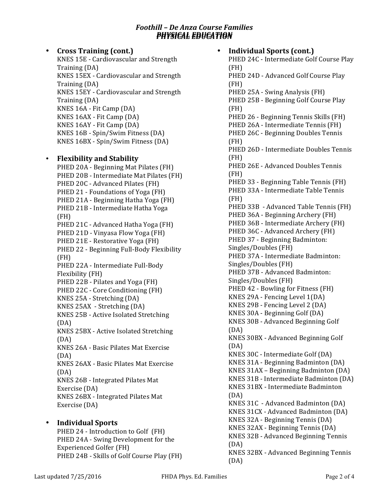• **Cross)Training (cont.)** KNES 15E - Cardiovascular and Strength Training (DA) KNES 15EX - Cardiovascular and Strength Training (DA) KNES 15EY - Cardiovascular and Strength Training (DA) KNES 16A - Fit Camp (DA) KNES 16AX - Fit Camp (DA) KNES 16AY - Fit Camp (DA) KNES 16B - Spin/Swim Fitness (DA) KNES 16BX - Spin/Swim Fitness (DA) • **Flexibility)and)Stability** PHED 20A - Beginning Mat Pilates (FH) PHED 20B - Intermediate Mat Pilates (FH) PHED 20C - Advanced Pilates (FH) PHED 21 - Foundations of Yoga (FH) PHED 21A - Beginning Hatha Yoga (FH) PHED 21B - Intermediate Hatha Yoga (FH) PHED 21C - Advanced Hatha Yoga (FH) PHED 21D - Vinyasa Flow Yoga (FH) PHED 21E - Restorative Yoga (FH) PHED 22 - Beginning Full-Body Flexibility (FH) PHED 22A - Intermediate Full-Body Flexibility (FH) PHED 22B - Pilates and Yoga (FH) PHED 22C - Core Conditioning (FH) KNES 25A - Stretching (DA)  $KNES$  25AX - Stretching  $(DA)$ KNES 25B - Active Isolated Stretching (DA) KNES 25BX - Active Isolated Stretching (DA) KNES 26A - Basic Pilates Mat Exercise (DA) KNES 26AX - Basic Pilates Mat Exercise (DA) KNES 26B - Integrated Pilates Mat Exercise (DA) KNES 26BX - Integrated Pilates Mat Exercise (DA) • **Individual Sports** 

PHED 24 - Introduction to Golf (FH) PHED 24A - Swing Development for the Experienced Golfer (FH) PHED 24B - Skills of Golf Course Play (FH)

#### **Individual Sports (cont.)** PHED 24C - Intermediate Golf Course Play (FH) PHED 24D - Advanced Golf Course Play (FH) PHED 25A - Swing Analysis (FH) PHED 25B - Beginning Golf Course Play (FH) PHED 26 - Beginning Tennis Skills (FH) PHED 26A - Intermediate Tennis (FH) PHED 26C - Beginning Doubles Tennis (FH) PHED 26D - Intermediate Doubles Tennis (FH) PHED 26E - Advanced Doubles Tennis (FH) PHED 33 - Beginning Table Tennis (FH) PHED 33A - Intermediate Table Tennis (FH) PHED 33B - Advanced Table Tennis (FH) PHED 36A - Beginning Archery (FH) PHED 36B - Intermediate Archery (FH) PHED 36C - Advanced Archery (FH) PHED 37 - Beginning Badminton: Singles/Doubles (FH) PHED 37A - Intermediate Badminton: Singles/Doubles (FH) PHED 37B - Advanced Badminton: Singles/Doubles (FH) PHED 42 - Bowling for Fitness (FH) KNES 29A - Fencing Level  $1(DA)$ KNES 29B - Fencing Level 2 (DA) KNES 30A - Beginning Golf (DA) KNES 30B - Advanced Beginning Golf (DA) KNES 30BX - Advanced Beginning Golf (DA)

KNES 31BX - Intermediate Badminton (DA) KNES 31C - Advanced Badminton (DA) KNES 31CX - Advanced Badminton (DA) KNES 32A - Beginning Tennis (DA) KNES 32AX - Beginning Tennis (DA) KNES 32B - Advanced Beginning Tennis (DA)

KNES 30C - Intermediate Golf (DA) KNES 31A - Beginning Badminton (DA) KNES  $31AX - Beginning Badminton (DA)$ KNES 31B - Intermediate Badminton (DA)

KNES 32BX - Advanced Beginning Tennis (DA)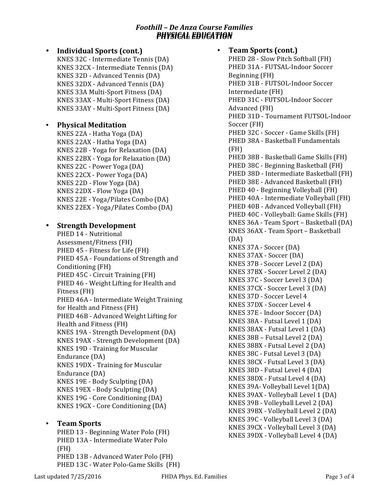#### **Individual Sports (cont.)** KNES 32C - Intermediate Tennis (DA) KNES 32CX - Intermediate Tennis (DA) KNES 32D - Advanced Tennis (DA) KNES 32DX - Advanced Tennis (DA) KNES 33A Multi-Sport Fitness (DA) KNES 33AX - Multi-Sport Fitness (DA) KNES 33AY - Multi-Sport Fitness (DA)

# • **Physical Meditation**

KNES 22A - Hatha Yoga (DA) KNES 22AX - Hatha Yoga (DA) KNES 22B - Yoga for Relaxation (DA) KNES 22BX - Yoga for Relaxation  $(DA)$ KNES 22C - Power Yoga (DA) KNES 22CX - Power Yoga (DA) KNES  $22D - Flow$  Yoga (DA) KNES  $22DX - Flow$  Yoga (DA) KNES 22E - Yoga/Pilates Combo (DA) KNES 22EX - Yoga/Pilates Combo (DA)

# • Strength Development

PHED 14 - Nutritional Assessment/Fitness (FH) PHED 45 - Fitness for Life (FH) PHED 45A - Foundations of Strength and Conditioning (FH) PHED 45C - Circuit Training (FH) PHED 46 - Weight Lifting for Health and Fitness (FH) PHED 46A - Intermediate Weight Training for Health and Fitness (FH) PHED 46B - Advanced Weight Lifting for Health and Fitness (FH) KNES 19A - Strength Development (DA) KNES 19AX - Strength Development (DA) KNES 19D - Training for Muscular Endurance (DA) KNES 19DX - Training for Muscular Endurance (DA) KNES 19E - Body Sculpting (DA) KNES 19EX - Body Sculpting (DA) KNES 19G - Core Conditioning (DA) KNES 19GX - Core Conditioning (DA)

### • **Team)Sports**

PHED 13 - Beginning Water Polo (FH) PHED 13A - Intermediate Water Polo (FH) PHED 13B - Advanced Water Polo (FH) PHED 13C - Water Polo-Game Skills (FH)

# **Team Sports (cont.)**

PHED 28 - Slow Pitch Softball (FH) PHED 31A - FUTSAL-Indoor Soccer Beginning (FH) PHED 31B - FUTSOL-Indoor Soccer Intermediate (FH) PHED 31C - FUTSOL-Indoor Soccer Advanced (FH) PHED 31D - Tournament FUTSOL-Indoor Soccer (FH) PHED 32C - Soccer - Game Skills (FH) PHED 38A - Basketball Fundamentals (FH) PHED 38B - Basketball Game Skills (FH) PHED 38C - Beginning Basketball (FH) PHED 38D - Intermediate Basketball (FH) PHED 38E - Advanced Basketball (FH) PHED 40 - Beginning Volleyball (FH) PHED 40A - Intermediate Volleyball (FH) PHED 40B - Advanced Volleyball (FH) PHED 40C - Volleyball: Game Skills (FH) KNES 36A - Team Sport – Basketball (DA) KNES 36AX - Team Sport – Basketball (DA) KNES 37A - Soccer (DA) KNES 37AX - Soccer (DA) KNES 37B - Soccer Level 2 (DA) KNES 37BX - Soccer Level 2 (DA) KNES 37C - Soccer Level 3 (DA) KNES 37CX - Soccer Level 3 (DA) KNES 37D - Soccer Level 4 KNES 37DX - Soccer Level 4 KNES 37E - Indoor Soccer (DA) KNES 38A - Futsal Level 1 (DA) KNES 38AX - Futsal Level 1 (DA) KNES  $38B$  – Futsal Level 2 (DA) KNES 38BX - Futsal Level 2 (DA) KNES 38C - Futsal Level 3 (DA) KNES 38CX - Futsal Level 3 (DA) KNES 38D - Futsal Level 4 (DA) KNES 38DX - Futsal Level 4 (DA) KNES 39A- Volleyball Level 1(DA) KNES 39AX - Volleyball Level 1 (DA) KNES 39B - Volleyball Level 2 (DA) KNES 39BX - Volleyball Level 2 (DA) KNES 39C - Volleyball Level 3 (DA) KNES 39CX - Volleyball Level 3 (DA) KNES 39DX - Volleyball Level 4 (DA)